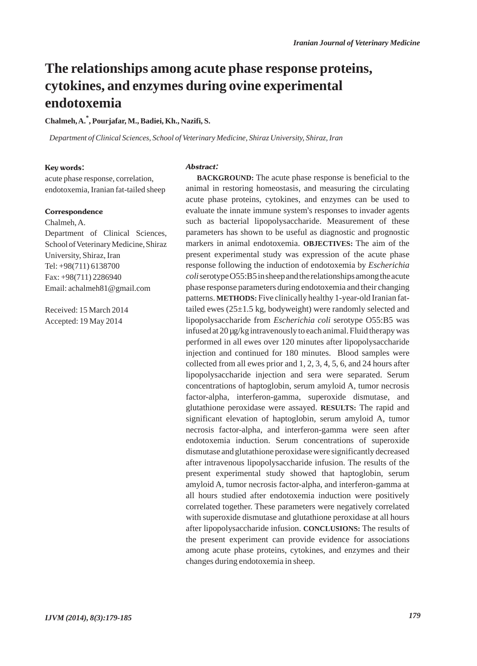## **The relationships among acute phase response proteins, cytokines, and enzymes during ovine experimental endotoxemia**

**Chalmeh, A.\* , Pourjafar, M., Badiei, Kh., Nazifi, S.** 

*Department of Clinical Sciences, School of Veterinary Medicine, Shiraz University, Shiraz, Iran*

#### Key words:

acute phase response, correlation, endotoxemia, Iranian fat-tailed sheep

#### **Correspondence**

Chalmeh, A. Department of Clinical Sciences, School of Veterinary Medicine, Shiraz University, Shiraz, Iran Tel: +98(711) 6138700 Fax: +98(711) 2286940 Email: achalmeh81@gmail.com

Received: 15 March 2014 Accepted: 19 May 2014

#### Abstract:

**BACKGROUND:** The acute phase response is beneficial to the animal in restoring homeostasis, and measuring the circulating acute phase proteins, cytokines, and enzymes can be used to evaluate the innate immune system's responses to invader agents such as bacterial lipopolysaccharide. Measurement of these parameters has shown to be useful as diagnostic and prognostic markers in animal endotoxemia. **OBJECTIVES:** The aim of the present experimental study was expression of the acute phase response following the induction of endotoxemia by *Escherichia coli*serotype O55:B5 in sheep and the relationships among the acute phase response parameters during endotoxemia and their changing patterns. **METHODS:** Five clinically healthy 1-year-old Iranian fattailed ewes  $(25\pm1.5 \text{ kg}, \text{bodyweight})$  were randomly selected and lipopolysaccharide from *Escherichia coli* serotype O55:B5 was infused at 20 µg/kg intravenously to each animal. Fluid therapy was performed in all ewes over 120 minutes after lipopolysaccharide injection and continued for 180 minutes. Blood samples were collected from all ewes prior and 1, 2, 3, 4, 5, 6, and 24 hours after lipopolysaccharide injection and sera were separated. Serum concentrations of haptoglobin, serum amyloid A, tumor necrosis factor-alpha, interferon-gamma, superoxide dismutase, and glutathione peroxidase were assayed. **RESULTS:** The rapid and significant elevation of haptoglobin, serum amyloid A, tumor necrosis factor-alpha, and interferon-gamma were seen after endotoxemia induction. Serum concentrations of superoxide dismutase and glutathione peroxidase were significantly decreased after intravenous lipopolysaccharide infusion. The results of the present experimental study showed that haptoglobin, serum amyloid A, tumor necrosis factor-alpha, and interferon-gamma at all hours studied after endotoxemia induction were positively correlated together. These parameters were negatively correlated with superoxide dismutase and glutathione peroxidase at all hours after lipopolysaccharide infusion. **CONCLUSIONS:** The results of the present experiment can provide evidence for associations among acute phase proteins, cytokines, and enzymes and their changes during endotoxemia in sheep.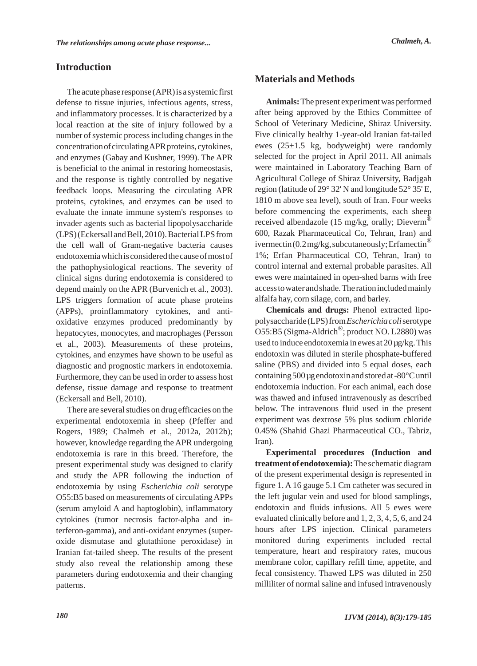The acute phase response (APR) is a systemic first defense to tissue injuries, infectious agents, stress, and inflammatory processes. It is characterized by a local reaction at the site of injury followed by a number of systemic process including changes in the concentration of circulating APR proteins, cytokines, and enzymes (Gabay and Kushner, 1999). The APR is beneficial to the animal in restoring homeostasis, and the response is tightly controlled by negative feedback loops. Measuring the circulating APR proteins, cytokines, and enzymes can be used to evaluate the innate immune system's responses to invader agents such as bacterial lipopolysaccharide (LPS) (Eckersall and Bell, 2010). Bacterial LPS from the cell wall of Gram-negative bacteria causes endotoxemia which is considered the cause of most of the pathophysiological reactions. The severity of clinical signs during endotoxemia is considered to depend mainly on the APR (Burvenich et al., 2003). LPS triggers formation of acute phase proteins (APPs), proinflammatory cytokines, and antioxidative enzymes produced predominantly by hepatocytes, monocytes, and macrophages (Persson et al., 2003). Measurements of these proteins, cytokines, and enzymes have shown to be useful as diagnostic and prognostic markers in endotoxemia. Furthermore, they can be used in order to assess host defense, tissue damage and response to treatment (Eckersall and Bell, 2010).

There are several studies on drug efficacies on the experimental endotoxemia in sheep (Pfeffer and Rogers, 1989; Chalmeh et al., 2012a, 2012b); however, knowledge regarding the APR undergoing endotoxemia is rare in this breed. Therefore, the present experimental study was designed to clarify and study the APR following the induction of endotoxemia by using *Escherichia coli* serotype O55:B5 based on measurements of circulating APPs (serum amyloid A and haptoglobin), inflammatory cytokines (tumor necrosis factor-alpha and interferon-gamma), and anti-oxidant enzymes (superoxide dismutase and glutathione peroxidase) in Iranian fat-tailed sheep. The results of the present study also reveal the relationship among these parameters during endotoxemia and their changing patterns.

## **Materials and Methods**

**Animals:**The present experiment was performed after being approved by the Ethics Committee of School of Veterinary Medicine, Shiraz University. Five clinically healthy 1-year-old Iranian fat-tailed ewes (25±1.5 kg, bodyweight) were randomly selected for the project in April 2011. All animals were maintained in Laboratory Teaching Barn of Agricultural College of Shiraz University, Badjgah region (latitude of 29° 32' N and longitude 52° 35' E, 1810 m above sea level), south of Iran. Four weeks before commencing the experiments, each sheep received albendazole (15 mg/kg, orally; Dieverm<sup>®</sup> 600, Razak Pharmaceutical Co, Tehran, Iran) and ivermectin  $(0.2 \,\text{mg/kg}, \text{subcutaneously}; \text{Erfamectin}^{\omega})$ 1%; Erfan Pharmaceutical CO, Tehran, Iran) to control internal and external probable parasites. All ewes were maintained in open-shed barns with free access to water and shade. The ration included mainly alfalfa hay, corn silage, corn, and barley.

**Chemicals and drugs:** Phenol extracted lipopolysaccharide (LPS) from *Escherichia coli*serotype O55:B5 (Sigma-Aldrich®; product NO. L2880) was used to induce endotoxemia in ewes at 20 µg/kg. This endotoxin was diluted in sterile phosphate-buffered saline (PBS) and divided into 5 equal doses, each containing 500 µg endotoxin and stored at -80°C until endotoxemia induction. For each animal, each dose was thawed and infused intravenously as described below. The intravenous fluid used in the present experiment was dextrose 5% plus sodium chloride 0.45% (Shahid Ghazi Pharmaceutical CO., Tabriz, Iran).

**Experimental procedures (Induction and treatment of endotoxemia):**The schematic diagram of the present experimental design is represented in figure 1. A 16 gauge 5.1 Cm catheter was secured in the left jugular vein and used for blood samplings, endotoxin and fluids infusions. All 5 ewes were evaluated clinically before and 1, 2, 3, 4, 5, 6, and 24 hours after LPS injection. Clinical parameters monitored during experiments included rectal temperature, heart and respiratory rates, mucous membrane color, capillary refill time, appetite, and fecal consistency. Thawed LPS was diluted in 250 milliliter of normal saline and infused intravenously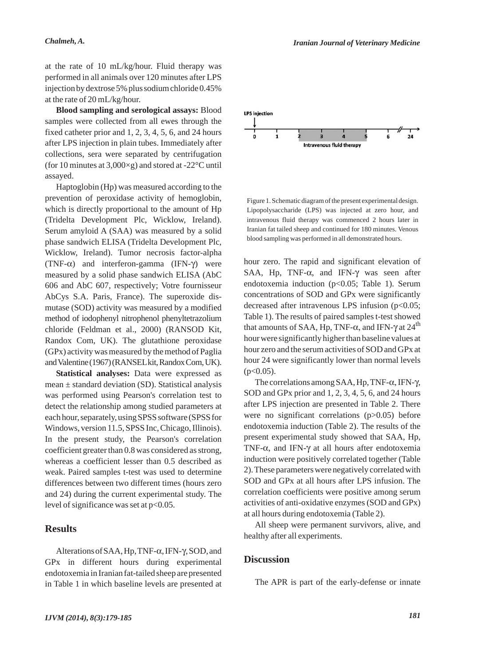at the rate of 10 mL/kg/hour. Fluid therapy was performed in all animals over 120 minutes after LPS injection by dextrose 5% plus sodium chloride 0.45% at the rate of 20 mL/kg/hour.

**Blood sampling and serological assays:** Blood samples were collected from all ewes through the fixed catheter prior and 1, 2, 3, 4, 5, 6, and 24 hours after LPS injection in plain tubes. Immediately after collections, sera were separated by centrifugation (for 10 minutes at 3,000×g) and stored at -22°C until assayed.

Haptoglobin (Hp) was measured according to the prevention of peroxidase activity of hemoglobin, which is directly proportional to the amount of Hp (Tridelta Development Plc, Wicklow, Ireland). Serum amyloid A (SAA) was measured by a solid phase sandwich ELISA (Tridelta Development Plc, Wicklow, Ireland). Tumor necrosis factor-alpha (TNF- $\alpha$ ) and interferon-gamma (IFN- $\gamma$ ) were measured by a solid phase sandwich ELISA (AbC 606 and AbC 607, respectively; Votre fournisseur AbCys S.A. Paris, France). The superoxide dismutase (SOD) activity was measured by a modified method of iodophenyl nitrophenol phenyltetrazolium chloride (Feldman et al., 2000) (RANSOD Kit, Randox Com, UK). The glutathione peroxidase (GPx) activity was measured by the method of Paglia and Valentine (1967) (RANSELkit, Randox Com, UK).

**Statistical analyses:** Data were expressed as mean  $\pm$  standard deviation (SD). Statistical analysis was performed using Pearson's correlation test to detect the relationship among studied parameters at each hour, separately, using SPSS software (SPSS for Windows, version 11.5, SPSS Inc, Chicago, Illinois). In the present study, the Pearson's correlation coefficient greater than 0.8 was considered as strong, whereas a coefficient lesser than 0.5 described as weak. Paired samples t-test was used to determine differences between two different times (hours zero and 24) during the current experimental study. The level of significance was set at p<0.05.

### **Results**

Alterations of SAA, Hp, TNF-α, IFN-γ, SOD, and GPx in different hours during experimental endotoxemia in Iranian fat-tailed sheep are presented in Table 1 in which baseline levels are presented at



Figure 1. Schematic diagram of the present experimental design. Lipopolysaccharide (LPS) was injected at zero hour, and intravenous fluid therapy was commenced 2 hours later in Iranian fat tailed sheep and continued for 180 minutes. Venous blood sampling was performed in all demonstrated hours.

hour zero. The rapid and significant elevation of SAA, Hp, TNF- $\alpha$ , and IFN- $\gamma$  was seen after endotoxemia induction (p<0.05; Table 1). Serum concentrations of SOD and GPx were significantly decreased after intravenous LPS infusion  $(p<0.05)$ ; Table 1). The results of paired samples t-test showed that amounts of SAA, Hp, TNF- $\alpha$ , and IFN- $\gamma$  at 24<sup>th</sup> hour were significantly higher than baseline values at hour zero and the serum activities of SOD and GPx at hour 24 were significantly lower than normal levels  $(p<0.05)$ .

The correlations among SAA, Hp, TNF-α, IFN-γ, SOD and GPx prior and 1, 2, 3, 4, 5, 6, and 24 hours after LPS injection are presented in Table 2. There were no significant correlations (p>0.05) before endotoxemia induction (Table 2). The results of the present experimental study showed that SAA, Hp, TNF- $\alpha$ , and IFN- $\gamma$  at all hours after endotoxemia induction were positively correlated together (Table 2). These parameters were negatively correlated with SOD and GPx at all hours after LPS infusion. The correlation coefficients were positive among serum activities of anti-oxidative enzymes (SOD and GPx) at all hours during endotoxemia (Table 2).

All sheep were permanent survivors, alive, and healthy after all experiments.

#### **Discussion**

The APR is part of the early-defense or innate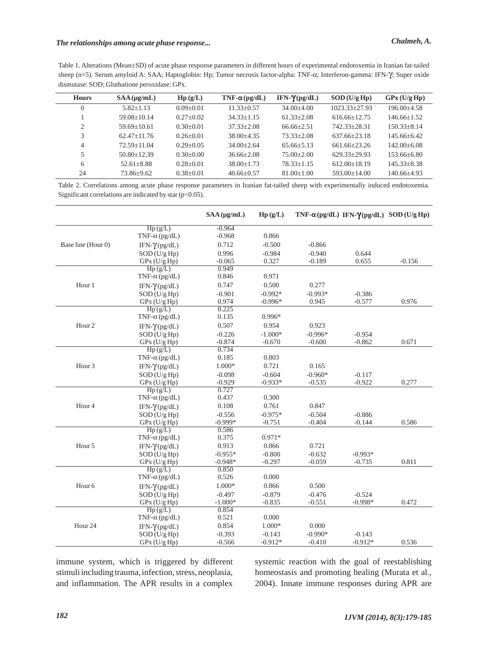Table 1. Alterations (Mean±SD) of acute phase response parameters in different hours of experimental endotoxemia in Iranian fat-tailed sheep (n=5). Serum amyloid A: SAA; Haptoglobin: Hp; Tumor necrosis factor-alpha: TNF-α; Interferon-gamma: IFN-γ; Super oxide dismutase: SOD; Gluthatione peroxidase: GPx.

| <b>Hours</b>                  | $SAA(\mu g/mL)$ | $\mathbf{H}\mathbf{p}(\mathbf{g}/\mathbf{L})$ | $TNF-\alpha(pg/dL)$ | IFN- $\gamma$ (pg/dL) | $SOD$ (U/g Hp)    | GPX(U/g Hp)       |
|-------------------------------|-----------------|-----------------------------------------------|---------------------|-----------------------|-------------------|-------------------|
| $\Omega$                      | $5.82 + 1.13$   | $0.09 + 0.01$                                 | $11.33 + 0.57$      | $34.00 + 4.00$        | $1023.33 + 27.93$ | $196.00 + 4.58$   |
|                               | $59.08 + 10.14$ | $0.27+0.02$                                   | $34.33 + 1.15$      | $61.33 + 2.08$        | $616.66 + 12.75$  | $146.66+1.52$     |
| $\mathfrak{D}_{\mathfrak{p}}$ | $59.69 + 10.61$ | $0.30+0.01$                                   | $37.33 + 2.08$      | $66.66 + 2.51$        | 742.33+28.31      | $150.33 + 8.14$   |
| 3                             | $62.47 + 11.76$ | $0.26 + 0.01$                                 | $38.00 + 4.35$      | $73.33 + 2.08$        | $637.66 + 23.18$  | $145.66 + 6.42$   |
| 4                             | $72.59 + 11.04$ | $0.29 + 0.05$                                 | $34.00 + 2.64$      | $65.66 + 5.13$        | $661.66 + 23.26$  | $142.00 + 6.08$   |
| 5                             | $50.80 + 12.39$ | $0.30+0.00$                                   | $36.66 + 2.08$      | $75.00 + 2.00$        | $629.33+29.93$    | $153.66 + 6.80$   |
| 6                             | $52.61 + 8.88$  | $0.28 + 0.01$                                 | $38.00 + 1.73$      | $78.33 + 1.15$        | $612.00+18.19$    | $145.33 + 8.38$   |
| 24                            | 73.86±9.62      | $0.38 + 0.01$                                 | $40.66 \pm 0.57$    | $81.00 + 1.00$        | $593.00 + 14.00$  | $140.66 \pm 4.93$ |

Table 2. Correlations among acute phase response parameters in Iranian fat-tailed sheep with experimentally induced endotoxemia. Significant correlations are indicated by star (p<0.05).

|                    |                       | $SAA(\mu g/mL)$ | Hp(g/L)   | TNF- $\alpha$ (pg/dL) IFN- $\gamma$ (pg/dL) SOD(U/g Hp) |           |          |
|--------------------|-----------------------|-----------------|-----------|---------------------------------------------------------|-----------|----------|
|                    | Hp(g/L)               | $-0.964$        |           |                                                         |           |          |
|                    | TNF- $\alpha$ (pg/dL) | $-0.968$        | 0.866     |                                                         |           |          |
| Base line (Hour 0) | IFN- $\gamma$ (pg/dL) | 0.712           | $-0.500$  | $-0.866$                                                |           |          |
|                    | SOD (U/g Hp)          | 0.996           | $-0.984$  | $-0.940$                                                | 0.644     |          |
|                    | GPx (U/g Hp)          | $-0.065$        | 0.327     | $-0.189$                                                | 0.655     | $-0.156$ |
|                    | Hp(g/L)               | 0.949           |           |                                                         |           |          |
|                    | TNF- $\alpha$ (pg/dL) | 0.846           | 0.971     |                                                         |           |          |
| Hour 1             | IFN- $\gamma$ (pg/dL) | 0.747           | 0.500     | 0.277                                                   |           |          |
|                    | SOD (U/g Hp)          | $-0.901$        | $-0.992*$ | $-0.993*$                                               | $-0.386$  |          |
|                    | GPx (U/g Hp)          | 0.974           | $-0.996*$ | 0.945                                                   | $-0.577$  | 0.976    |
|                    | Hp(g/L)               | 0.225           |           |                                                         |           |          |
|                    | TNF- $\alpha$ (pg/dL) | 0.135           | 0.996*    |                                                         |           |          |
| Hour <sub>2</sub>  | IFN- $\gamma$ (pg/dL) | 0.507           | 0.954     | 0.923                                                   |           |          |
|                    | SOD (U/g Hp)          | $-0.226$        | $-1.000*$ | $-0.996*$                                               | $-0.954$  |          |
|                    | GPx (U/g Hp)          | $-0.874$        | $-0.670$  | $-0.600$                                                | $-0.862$  | 0.671    |
|                    | Hp(g/L)               | 0.734           |           |                                                         |           |          |
|                    | TNF- $\alpha$ (pg/dL) | 0.185           | 0.803     |                                                         |           |          |
| Hour <sub>3</sub>  | IFN- $\gamma$ (pg/dL) | $1.000*$        | 0.721     | 0.165                                                   |           |          |
|                    | $SOD$ (U/g Hp)        | $-0.098$        | $-0.604$  | $-0.960*$                                               | $-0.117$  |          |
|                    | $GPx$ (U/g Hp)        | $-0.929$        | $-0.933*$ | $-0.535$                                                | $-0.922$  | 0.277    |
|                    | Hp(g/L)               | 0.727           |           |                                                         |           |          |
|                    | TNF- $\alpha$ (pg/dL) | 0.437           | 0.300     |                                                         |           |          |
| Hour <sub>4</sub>  | IFN- $\gamma$ (pg/dL) | 0.108           | 0.761     | 0.847                                                   |           |          |
|                    | $SOD$ (U/g Hp)        | $-0.556$        | $-0.975*$ | $-0.504$                                                | $-0.886$  |          |
|                    | GPx (U/g Hp)          | $-0.999*$       | $-0.751$  | $-0.404$                                                | $-0.144$  | 0.586    |
|                    | Hp(g/L)               | 0.586           |           |                                                         |           |          |
|                    | TNF- $\alpha$ (pg/dL) | 0.375           | $0.971*$  |                                                         |           |          |
| Hour 5             | IFN- $\gamma$ (pg/dL) | 0.913           | 0.866     | 0.721                                                   |           |          |
|                    | $SOD$ (U/g Hp)        | $-0.955*$       | $-0.800$  | $-0.632$                                                | $-0.993*$ |          |
|                    | $GPx$ (U/g Hp)        | $-0.948*$       | $-0.297$  | $-0.059$                                                | $-0.735$  | 0.811    |
|                    | Hp(g/L)               | 0.850           |           |                                                         |           |          |
|                    | TNF- $\alpha$ (pg/dL) | 0.526           | 0.000     |                                                         |           |          |
| Hour <sub>6</sub>  | IFN- $\gamma$ (pg/dL) | 1.000*          | 0.866     | 0.500                                                   |           |          |
|                    | SOD (U/g Hp)          | $-0.497$        | $-0.879$  | $-0.476$                                                | $-0.524$  |          |
|                    | $GPx$ (U/g Hp)        | $-1.000*$       | $-0.835$  | $-0.551$                                                | $-0.998*$ | 0.472    |
|                    | Hp(g/L)               | 0.854           |           |                                                         |           |          |
|                    | TNF- $\alpha$ (pg/dL) | 0.521           | 0.000     |                                                         |           |          |
| Hour <sub>24</sub> | IFN- $\gamma$ (pg/dL) | 0.854           | 1.000*    | 0.000                                                   |           |          |
|                    | $SOD$ (U/g Hp)        | $-0.393$        | $-0.143$  | $-0.990*$                                               | $-0.143$  |          |
|                    | GPx (U/g Hp)          | $-0.566$        | $-0.912*$ | $-0.410$                                                | $-0.912*$ | 0.536    |

immune system, which is triggered by different stimuli including trauma, infection, stress, neoplasia, and inflammation. The APR results in a complex systemic reaction with the goal of reestablishing homeostasis and promoting healing (Murata et al., 2004). Innate immune responses during APR are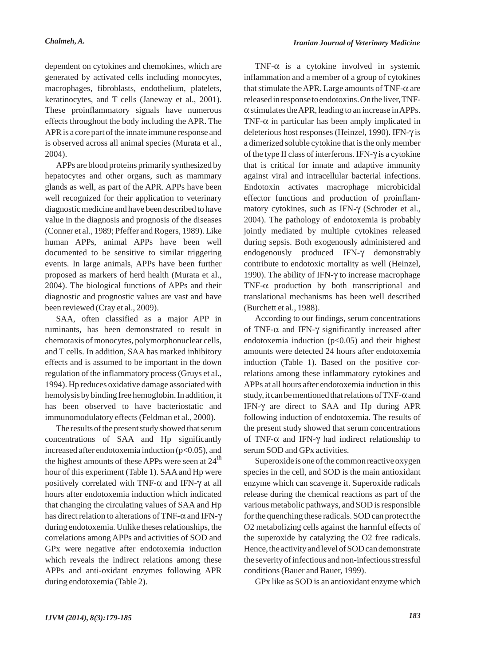*Chalmeh, A. Iranian Journal of Veterinary Medicine*

dependent on cytokines and chemokines, which are generated by activated cells including monocytes, macrophages, fibroblasts, endothelium, platelets, keratinocytes, and T cells (Janeway et al., 2001). These proinflammatory signals have numerous effects throughout the body including the APR. The APR is a core part of the innate immune response and is observed across all animal species (Murata et al., 2004).

APPs are blood proteins primarily synthesized by hepatocytes and other organs, such as mammary glands as well, as part of the APR. APPs have been well recognized for their application to veterinary diagnostic medicine and have been described to have value in the diagnosis and prognosis of the diseases (Conner et al., 1989; Pfeffer and Rogers, 1989). Like human APPs, animal APPs have been well documented to be sensitive to similar triggering events. In large animals, APPs have been further proposed as markers of herd health (Murata et al., 2004). The biological functions of APPs and their diagnostic and prognostic values are vast and have been reviewed (Cray et al., 2009).

SAA, often classified as a major APP in ruminants, has been demonstrated to result in chemotaxis of monocytes, polymorphonuclear cells, and T cells. In addition, SAA has marked inhibitory effects and is assumed to be important in the down regulation of the inflammatory process (Gruys et al., 1994). Hp reduces oxidative damage associated with hemolysis by binding free hemoglobin. In addition, it has been observed to have bacteriostatic and immunomodulatory effects (Feldman et al., 2000).

The results of the present study showed that serum concentrations of SAA and Hp significantly increased after endotoxemia induction  $(p<0.05)$ , and the highest amounts of these APPs were seen at  $24<sup>th</sup>$ hour of this experiment (Table 1). SAA and Hp were positively correlated with TNF- $\alpha$  and IFN- $\gamma$  at all hours after endotoxemia induction which indicated that changing the circulating values of SAA and Hp has direct relation to alterations of TNF-α and IFN-γ during endotoxemia. Unlike theses relationships, the correlations among APPs and activities of SOD and GPx were negative after endotoxemia induction which reveals the indirect relations among these APPs and anti-oxidant enzymes following APR during endotoxemia (Table 2).

TNF- $\alpha$  is a cytokine involved in systemic inflammation and a member of a group of cytokines that stimulate the APR. Large amounts of TNF- $\alpha$  are released in response to endotoxins. On the liver, TNF- $\alpha$  stimulates the APR, leading to an increase in APPs. TNF- $\alpha$  in particular has been amply implicated in deleterious host responses (Heinzel, 1990). IFN-γ is a dimerized soluble cytokine that is the only member of the type II class of interferons. IFN-γ is a cytokine that is critical for innate and adaptive immunity against viral and intracellular bacterial infections. Endotoxin activates macrophage microbicidal effector functions and production of proinflammatory cytokines, such as IFN-γ (Schroder et al., 2004). The pathology of endotoxemia is probably jointly mediated by multiple cytokines released during sepsis. Both exogenously administered and endogenously produced IFN-γ demonstrably contribute to endotoxic mortality as well (Heinzel, 1990). The ability of IFN-γ to increase macrophage TNF- $\alpha$  production by both transcriptional and translational mechanisms has been well described (Burchett et al., 1988).

According to our findings, serum concentrations of TNF- $\alpha$  and IFN- $\gamma$  significantly increased after endotoxemia induction  $(p<0.05)$  and their highest amounts were detected 24 hours after endotoxemia induction (Table 1). Based on the positive correlations among these inflammatory cytokines and APPs at all hours after endotoxemia induction in this study, it can be mentioned that relations of TNF- $\alpha$  and IFN-γ are direct to SAA and Hp during APR following induction of endotoxemia. The results of the present study showed that serum concentrations of TNF- $\alpha$  and IFN- $\gamma$  had indirect relationship to serum SOD and GPx activities.

Superoxide is one of the common reactive oxygen species in the cell, and SOD is the main antioxidant enzyme which can scavenge it. Superoxide radicals release during the chemical reactions as part of the various metabolic pathways, and SOD is responsible for the quenching these radicals. SOD can protect the O2 metabolizing cells against the harmful effects of the superoxide by catalyzing the O2 free radicals. Hence, the activity and level of SOD can demonstrate the severity of infectious and non-infectious stressful conditions (Bauer and Bauer, 1999).

GPx like as SOD is an antioxidant enzyme which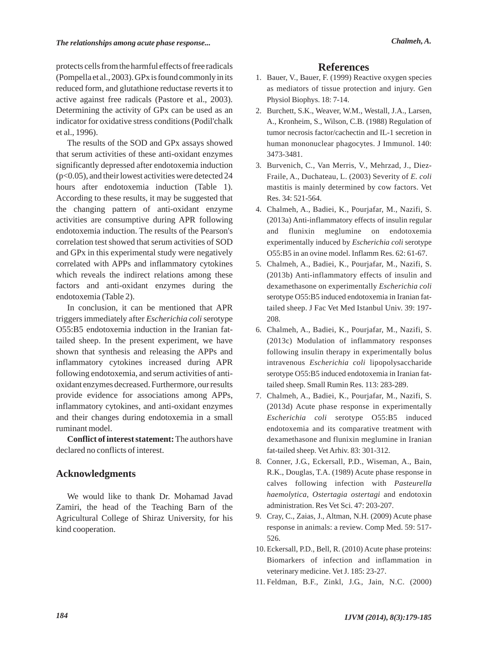protects cells from the harmful effects of free radicals (Pompella et al., 2003). GPx is found commonly in its reduced form, and glutathione reductase reverts it to active against free radicals (Pastore et al., 2003). Determining the activity of GPx can be used as an indicator for oxidative stress conditions (Podil'chalk et al., 1996).

The results of the SOD and GPx assays showed that serum activities of these anti-oxidant enzymes significantly depressed after endotoxemia induction (p<0.05), and their lowest activities were detected 24 hours after endotoxemia induction (Table 1). According to these results, it may be suggested that the changing pattern of anti-oxidant enzyme activities are consumptive during APR following endotoxemia induction. The results of the Pearson's correlation test showed that serum activities of SOD and GPx in this experimental study were negatively correlated with APPs and inflammatory cytokines which reveals the indirect relations among these factors and anti-oxidant enzymes during the endotoxemia (Table 2).

In conclusion, it can be mentioned that APR triggers immediately after *Escherichia coli* serotype O55:B5 endotoxemia induction in the Iranian fattailed sheep. In the present experiment, we have shown that synthesis and releasing the APPs and inflammatory cytokines increased during APR following endotoxemia, and serum activities of antioxidant enzymes decreased. Furthermore, our results provide evidence for associations among APPs, inflammatory cytokines, and anti-oxidant enzymes and their changes during endotoxemia in a small ruminant model.

**Conflict of interest statement:**The authors have declared no conflicts of interest.

## **Acknowledgments**

We would like to thank Dr. Mohamad Javad Zamiri, the head of the Teaching Barn of the Agricultural College of Shiraz University, for his kind cooperation.

### **References**

- 1. Bauer, V., Bauer, F. (1999) Reactive oxygen species as mediators of tissue protection and injury. Gen Physiol Biophys. 18: 7-14.
- 2. Burchett, S.K., Weaver, W.M., Westall, J.A., Larsen, A., Kronheim, S., Wilson, C.B. (1988) Regulation of tumor necrosis factor/cachectin and IL-1 secretion in human mononuclear phagocytes. J Immunol. 140: 3473-3481.
- Burvenich, C., Van Merris, V., Mehrzad, J., Diez-3. Fraile, A., Duchateau, L. (2003) Severity of *E. coli* mastitis is mainly determined by cow factors. Vet Res. 34: 521-564.
- Chalmeh, A., Badiei, K., Pourjafar, M., Nazifi, S. 4. (2013a) Anti-inflammatory effects of insulin regular and flunixin meglumine on endotoxemia experimentally induced by *Escherichia coli* serotype O55:B5 in an ovine model. Inflamm Res. 62: 61-67.
- Chalmeh, A., Badiei, K., Pourjafar, M., Nazifi, S. 5. (2013b) Anti-inflammatory effects of insulin and dexamethasone on experimentally *Escherichia coli* serotype O55:B5 induced endotoxemia in Iranian fattailed sheep. J Fac Vet Med Istanbul Univ. 39: 197- 208.
- 6. Chalmeh, A., Badiei, K., Pourjafar, M., Nazifi, S. (2013c) Modulation of inflammatory responses following insulin therapy in experimentally bolus intravenous *Escherichia coli* lipopolysaccharide serotype O55:B5 induced endotoxemia in Iranian fattailed sheep. Small Rumin Res. 113: 283-289.
- Chalmeh, A., Badiei, K., Pourjafar, M., Nazifi, S. 7. (2013d) Acute phase response in experimentally *Escherichia coli* serotype O55:B5 induced endotoxemia and its comparative treatment with dexamethasone and flunixin meglumine in Iranian fat-tailed sheep. Vet Arhiv. 83: 301-312.
- 8. Conner, J.G., Eckersall, P.D., Wiseman, A., Bain, R.K., Douglas, T.A. (1989) Acute phase response in calves following infection with *Pasteurella haemolytica*, *Ostertagia ostertagi* and endotoxin administration. Res Vet Sci. 47: 203-207.
- 9. Cray, C., Zaias, J., Altman, N.H. (2009) Acute phase response in animals: a review. Comp Med. 59: 517- 526.
- 10. Eckersall, P.D., Bell, R. (2010) Acute phase proteins: Biomarkers of infection and inflammation in veterinary medicine. Vet J. 185: 23-27.
- Feldman, B.F., Zinkl, J.G., Jain, N.C. (2000) 11.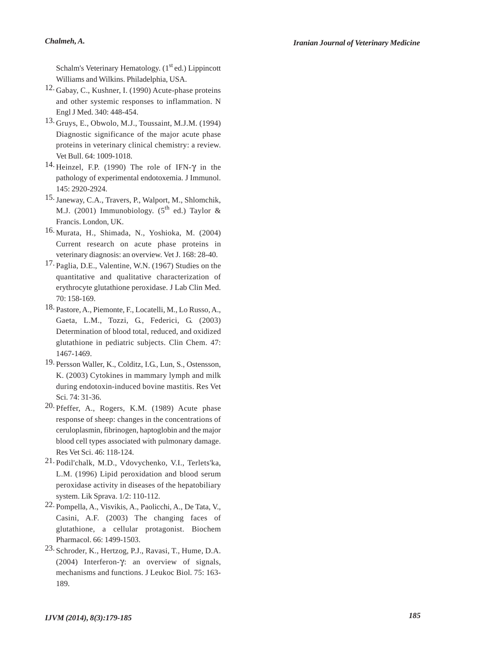Schalm's Veterinary Hematology.  $(1<sup>st</sup>$ ed.) Lippincott Williams and Wilkins. Philadelphia, USA.

- 12. Gabay, C., Kushner, I. (1990) Acute-phase proteins and other systemic responses to inflammation. N Engl J Med. 340: 448-454.
- 13. Gruys, E., Obwolo, M.J., Toussaint, M.J.M. (1994) Diagnostic significance of the major acute phase proteins in veterinary clinical chemistry: a review. Vet Bull. 64: 1009-1018.
- <sup>14</sup> Heinzel, F.P. (1990) The role of IFN-γ in the pathology of experimental endotoxemia. J Immunol. 145: 2920-2924.
- 15. Janeway, C.A., Travers, P., Walport, M., Shlomchik, M.J. (2001) Immunobiology. ( $5^{th}$  ed.) Taylor & Francis. London, UK.
- 16. Murata, H., Shimada, N., Yoshioka, M. (2004) Current research on acute phase proteins in veterinary diagnosis: an overview. Vet J. 168: 28-40.
- 17. Paglia, D.E., Valentine, W.N. (1967) Studies on the quantitative and qualitative characterization of erythrocyte glutathione peroxidase. J Lab Clin Med. 70: 158-169.
- 18. Pastore, A., Piemonte, F., Locatelli, M., Lo Russo, A., Gaeta, L.M., Tozzi, G., Federici, G. (2003) Determination of blood total, reduced, and oxidized glutathione in pediatric subjects. Clin Chem. 47: 1467-1469.
- 19. Persson Waller, K., Colditz, I.G., Lun, S., Ostensson, K. (2003) Cytokines in mammary lymph and milk during endotoxin-induced bovine mastitis. Res Vet Sci. 74: 31-36.
- $20.$  Pfeffer, A., Rogers, K.M. (1989) Acute phase response of sheep: changes in the concentrations of ceruloplasmin, fibrinogen, haptoglobin and the major blood cell types associated with pulmonary damage. Res Vet Sci. 46: 118-124.
- 21. Podil'chalk, M.D., Vdovychenko, V.I., Terlets'ka, L.M. (1996) Lipid peroxidation and blood serum peroxidase activity in diseases of the hepatobiliary system. Lik Sprava. 1/2: 110-112.
- <sup>22.</sup> Pompella, A., Visvikis, A., Paolicchi, A., De Tata, V., Casini, A.F. (2003) The changing faces of glutathione, a cellular protagonist. Biochem Pharmacol. 66: 1499-1503.
- 23. Schroder, K., Hertzog, P.J., Ravasi, T., Hume, D.A. (2004) Interferon-γ: an overview of signals, mechanisms and functions. J Leukoc Biol. 75: 163- 189.